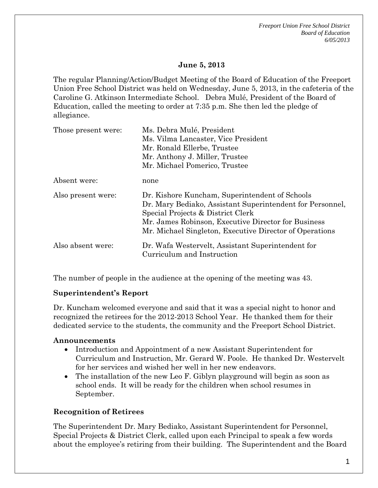*Freeport Union Free School District Board of Education 6/05/2013* 

## **June 5, 2013**

The regular Planning/Action/Budget Meeting of the Board of Education of the Freeport Union Free School District was held on Wednesday, June 5, 2013, in the cafeteria of the Caroline G. Atkinson Intermediate School. Debra Mulé, President of the Board of Education, called the meeting to order at 7:35 p.m. She then led the pledge of allegiance.

| Those present were: | Ms. Debra Mulé, President                                                                                                                                                                                                                                          |
|---------------------|--------------------------------------------------------------------------------------------------------------------------------------------------------------------------------------------------------------------------------------------------------------------|
|                     | Ms. Vilma Lancaster, Vice President                                                                                                                                                                                                                                |
|                     | Mr. Ronald Ellerbe, Trustee                                                                                                                                                                                                                                        |
|                     | Mr. Anthony J. Miller, Trustee                                                                                                                                                                                                                                     |
|                     | Mr. Michael Pomerico, Trustee                                                                                                                                                                                                                                      |
| Absent were:        | none                                                                                                                                                                                                                                                               |
| Also present were:  | Dr. Kishore Kuncham, Superintendent of Schools<br>Dr. Mary Bediako, Assistant Superintendent for Personnel,<br>Special Projects & District Clerk<br>Mr. James Robinson, Executive Director for Business<br>Mr. Michael Singleton, Executive Director of Operations |
| Also absent were:   | Dr. Wafa Westervelt, Assistant Superintendent for<br>Curriculum and Instruction                                                                                                                                                                                    |

The number of people in the audience at the opening of the meeting was 43.

## **Superintendent's Report**

Dr. Kuncham welcomed everyone and said that it was a special night to honor and recognized the retirees for the 2012-2013 School Year. He thanked them for their dedicated service to the students, the community and the Freeport School District.

## **Announcements**

- Introduction and Appointment of a new Assistant Superintendent for Curriculum and Instruction, Mr. Gerard W. Poole. He thanked Dr. Westervelt for her services and wished her well in her new endeavors.
- The installation of the new Leo F. Giblyn playground will begin as soon as school ends. It will be ready for the children when school resumes in September.

## **Recognition of Retirees**

The Superintendent Dr. Mary Bediako, Assistant Superintendent for Personnel, Special Projects & District Clerk, called upon each Principal to speak a few words about the employee's retiring from their building. The Superintendent and the Board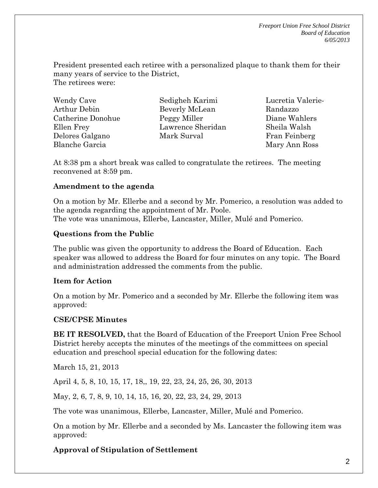*Freeport Union Free School District Board of Education 6/05/2013* 

President presented each retiree with a personalized plaque to thank them for their many years of service to the District, The retirees were:

Wendy Cave Arthur Debin Catherine Donohue Ellen Frey Delores Galgano Blanche Garcia

Sedigheh Karimi Beverly McLean Peggy Miller Lawrence Sheridan Mark Surval

Lucretia Valerie-Randazzo Diane Wahlers Sheila Walsh Fran Feinberg Mary Ann Ross

At 8:38 pm a short break was called to congratulate the retirees. The meeting reconvened at 8:59 pm.

## **Amendment to the agenda**

On a motion by Mr. Ellerbe and a second by Mr. Pomerico, a resolution was added to the agenda regarding the appointment of Mr. Poole. The vote was unanimous, Ellerbe, Lancaster, Miller, Mulé and Pomerico.

## **Questions from the Public**

The public was given the opportunity to address the Board of Education. Each speaker was allowed to address the Board for four minutes on any topic. The Board and administration addressed the comments from the public.

## **Item for Action**

On a motion by Mr. Pomerico and a seconded by Mr. Ellerbe the following item was approved:

## **CSE/CPSE Minutes**

**BE IT RESOLVED,** that the Board of Education of the Freeport Union Free School District hereby accepts the minutes of the meetings of the committees on special education and preschool special education for the following dates:

March 15, 21, 2013

April 4, 5, 8, 10, 15, 17, 18,, 19, 22, 23, 24, 25, 26, 30, 2013

May, 2, 6, 7, 8, 9, 10, 14, 15, 16, 20, 22, 23, 24, 29, 2013

The vote was unanimous, Ellerbe, Lancaster, Miller, Mulé and Pomerico.

On a motion by Mr. Ellerbe and a seconded by Ms. Lancaster the following item was approved:

# **Approval of Stipulation of Settlement**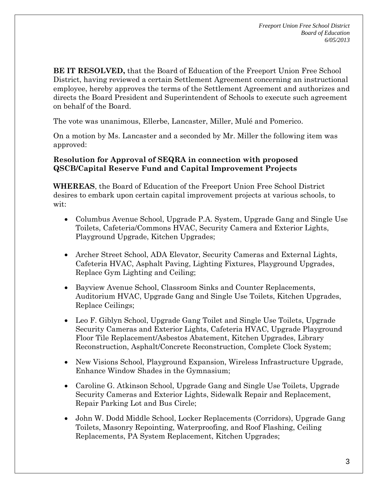**BE IT RESOLVED,** that the Board of Education of the Freeport Union Free School District, having reviewed a certain Settlement Agreement concerning an instructional employee, hereby approves the terms of the Settlement Agreement and authorizes and directs the Board President and Superintendent of Schools to execute such agreement on behalf of the Board.

The vote was unanimous, Ellerbe, Lancaster, Miller, Mulé and Pomerico.

On a motion by Ms. Lancaster and a seconded by Mr. Miller the following item was approved:

## **Resolution for Approval of SEQRA in connection with proposed QSCB/Capital Reserve Fund and Capital Improvement Projects**

**WHEREAS**, the Board of Education of the Freeport Union Free School District desires to embark upon certain capital improvement projects at various schools, to wit:

- Columbus Avenue School, Upgrade P.A. System, Upgrade Gang and Single Use Toilets, Cafeteria/Commons HVAC, Security Camera and Exterior Lights, Playground Upgrade, Kitchen Upgrades;
- Archer Street School, ADA Elevator, Security Cameras and External Lights, Cafeteria HVAC, Asphalt Paving, Lighting Fixtures, Playground Upgrades, Replace Gym Lighting and Ceiling;
- Bayview Avenue School, Classroom Sinks and Counter Replacements, Auditorium HVAC, Upgrade Gang and Single Use Toilets, Kitchen Upgrades, Replace Ceilings;
- Leo F. Giblyn School, Upgrade Gang Toilet and Single Use Toilets, Upgrade Security Cameras and Exterior Lights, Cafeteria HVAC, Upgrade Playground Floor Tile Replacement/Asbestos Abatement, Kitchen Upgrades, Library Reconstruction, Asphalt/Concrete Reconstruction, Complete Clock System;
- New Visions School, Playground Expansion, Wireless Infrastructure Upgrade, Enhance Window Shades in the Gymnasium;
- Caroline G. Atkinson School, Upgrade Gang and Single Use Toilets, Upgrade Security Cameras and Exterior Lights, Sidewalk Repair and Replacement, Repair Parking Lot and Bus Circle;
- John W. Dodd Middle School, Locker Replacements (Corridors), Upgrade Gang Toilets, Masonry Repointing, Waterproofing, and Roof Flashing, Ceiling Replacements, PA System Replacement, Kitchen Upgrades;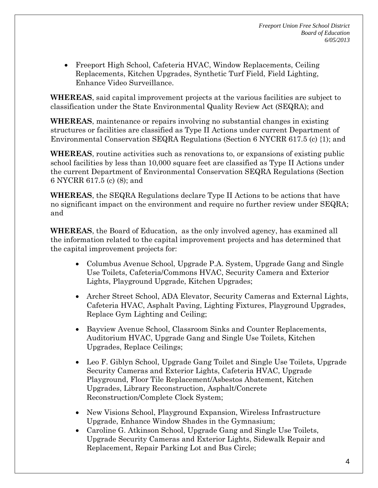Freeport High School, Cafeteria HVAC, Window Replacements, Ceiling Replacements, Kitchen Upgrades, Synthetic Turf Field, Field Lighting, Enhance Video Surveillance.

**WHEREAS**, said capital improvement projects at the various facilities are subject to classification under the State Environmental Quality Review Act (SEQRA); and

**WHEREAS**, maintenance or repairs involving no substantial changes in existing structures or facilities are classified as Type II Actions under current Department of Environmental Conservation SEQRA Regulations (Section 6 NYCRR 617.5 (c) {1); and

**WHEREAS**, routine activities such as renovations to, or expansions of existing public school facilities by less than 10,000 square feet are classified as Type II Actions under the current Department of Environmental Conservation SEQRA Regulations (Section 6 NYCRR 617.5 (c) (8); and

**WHEREAS**, the SEQRA Regulations declare Type II Actions to be actions that have no significant impact on the environment and require no further review under SEQRA; and

**WHEREAS**, the Board of Education, as the only involved agency, has examined all the information related to the capital improvement projects and has determined that the capital improvement projects for:

- Columbus Avenue School, Upgrade P.A. System, Upgrade Gang and Single Use Toilets, Cafeteria/Commons HVAC, Security Camera and Exterior Lights, Playground Upgrade, Kitchen Upgrades;
- Archer Street School, ADA Elevator, Security Cameras and External Lights, Cafeteria HVAC, Asphalt Paving, Lighting Fixtures, Playground Upgrades, Replace Gym Lighting and Ceiling;
- Bayview Avenue School, Classroom Sinks and Counter Replacements, Auditorium HVAC, Upgrade Gang and Single Use Toilets, Kitchen Upgrades, Replace Ceilings;
- Leo F. Giblyn School, Upgrade Gang Toilet and Single Use Toilets, Upgrade Security Cameras and Exterior Lights, Cafeteria HVAC, Upgrade Playground, Floor Tile Replacement/Asbestos Abatement, Kitchen Upgrades, Library Reconstruction, Asphalt/Concrete Reconstruction/Complete Clock System;
- New Visions School, Playground Expansion, Wireless Infrastructure Upgrade, Enhance Window Shades in the Gymnasium;
- Caroline G. Atkinson School, Upgrade Gang and Single Use Toilets, Upgrade Security Cameras and Exterior Lights, Sidewalk Repair and Replacement, Repair Parking Lot and Bus Circle;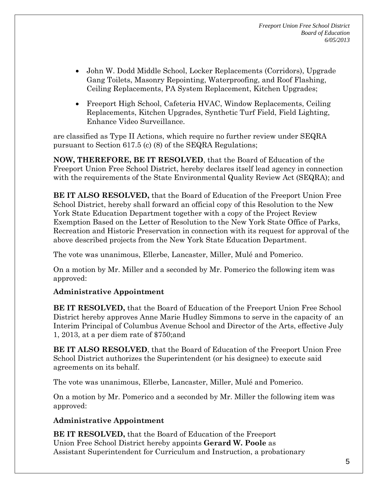- John W. Dodd Middle School, Locker Replacements (Corridors), Upgrade Gang Toilets, Masonry Repointing, Waterproofing, and Roof Flashing, Ceiling Replacements, PA System Replacement, Kitchen Upgrades;
- Freeport High School, Cafeteria HVAC, Window Replacements, Ceiling Replacements, Kitchen Upgrades, Synthetic Turf Field, Field Lighting, Enhance Video Surveillance.

are classified as Type II Actions, which require no further review under SEQRA pursuant to Section 617.5 (c) (8) of the SEQRA Regulations;

**NOW, THEREFORE, BE IT RESOLVED**, that the Board of Education of the Freeport Union Free School District, hereby declares itself lead agency in connection with the requirements of the State Environmental Quality Review Act (SEQRA); and

**BE IT ALSO RESOLVED,** that the Board of Education of the Freeport Union Free School District, hereby shall forward an official copy of this Resolution to the New York State Education Department together with a copy of the Project Review Exemption Based on the Letter of Resolution to the New York State Office of Parks, Recreation and Historic Preservation in connection with its request for approval of the above described projects from the New York State Education Department.

The vote was unanimous, Ellerbe, Lancaster, Miller, Mulé and Pomerico.

On a motion by Mr. Miller and a seconded by Mr. Pomerico the following item was approved:

# **Administrative Appointment**

**BE IT RESOLVED,** that the Board of Education of the Freeport Union Free School District hereby approves Anne Marie Hudley Simmons to serve in the capacity of an Interim Principal of Columbus Avenue School and Director of the Arts, effective July 1, 2013, at a per diem rate of \$750;and

**BE IT ALSO RESOLVED**, that the Board of Education of the Freeport Union Free School District authorizes the Superintendent (or his designee) to execute said agreements on its behalf.

The vote was unanimous, Ellerbe, Lancaster, Miller, Mulé and Pomerico.

On a motion by Mr. Pomerico and a seconded by Mr. Miller the following item was approved:

# **Administrative Appointment**

**BE IT RESOLVED,** that the Board of Education of the Freeport Union Free School District hereby appoints **Gerard W. Poole** as Assistant Superintendent for Curriculum and Instruction, a probationary